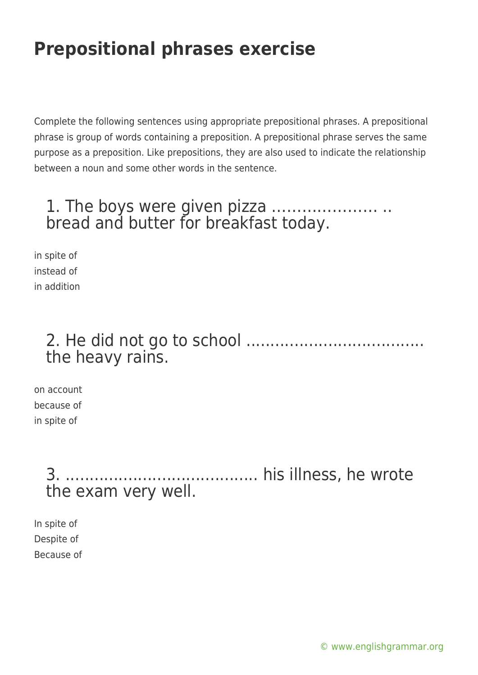# **Prepositional phrases exercise**

Complete the following sentences using appropriate prepositional phrases. A prepositional phrase is group of words containing a preposition. A prepositional phrase serves the same purpose as a preposition. Like prepositions, they are also used to indicate the relationship between a noun and some other words in the sentence.

### 1. The boys were given pizza ………………… .. bread and butter for breakfast today.

in spite of instead of in addition

### 2. He did not go to school ..................................... the heavy rains.

on account because of in spite of

> 3. ........................................ his illness, he wrote the exam very well.

In spite of Despite of Because of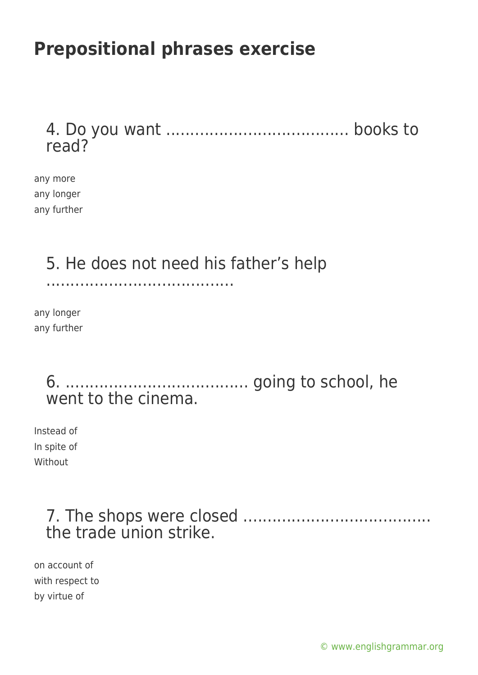## **Prepositional phrases exercise**

#### 4. Do you want ...................................... books to read?

any more any longer any further

# 5. He does not need his father's help

.......................................

any longer any further

#### 6. ...................................... going to school, he went to the cinema.

Instead of In spite of **Without** 

### 7. The shops were closed ....................................... the trade union strike.

on account of with respect to by virtue of